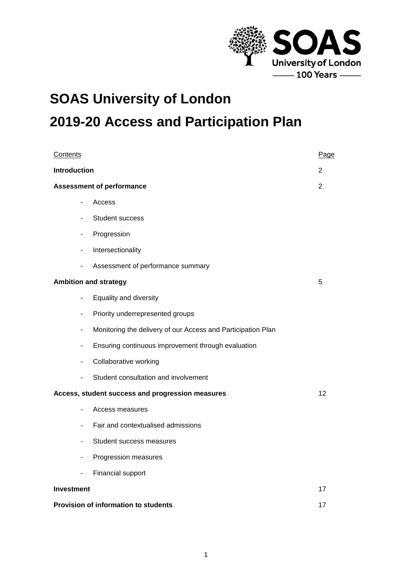

# **SOAS University of London 2019-20 Access and Participation Plan**

| Contents                     |                                                              | Page           |
|------------------------------|--------------------------------------------------------------|----------------|
| <b>Introduction</b>          |                                                              | 2              |
|                              | <b>Assessment of performance</b>                             | $\overline{2}$ |
| ٠                            | Access                                                       |                |
| $\overline{\phantom{0}}$     | Student success                                              |                |
| $\overline{\phantom{0}}$     | Progression                                                  |                |
| $\blacksquare$               | Intersectionality                                            |                |
| ۰                            | Assessment of performance summary                            |                |
|                              | <b>Ambition and strategy</b>                                 | 5              |
| $\blacksquare$               | Equality and diversity                                       |                |
| $\qquad \qquad \blacksquare$ | Priority underrepresented groups                             |                |
| ٠                            | Monitoring the delivery of our Access and Participation Plan |                |
| ۰                            | Ensuring continuous improvement through evaluation           |                |
| $\qquad \qquad \blacksquare$ | Collaborative working                                        |                |
| $\blacksquare$               | Student consultation and involvement                         |                |
|                              | Access, student success and progression measures             | 12             |
| $\qquad \qquad \blacksquare$ | Access measures                                              |                |
| $\blacksquare$               | Fair and contextualised admissions                           |                |
| $\qquad \qquad \blacksquare$ | Student success measures                                     |                |
| $\qquad \qquad \blacksquare$ | Progression measures                                         |                |
| $\qquad \qquad \blacksquare$ | Financial support                                            |                |
| Investment                   |                                                              | 17             |
|                              | Provision of information to students                         | 17             |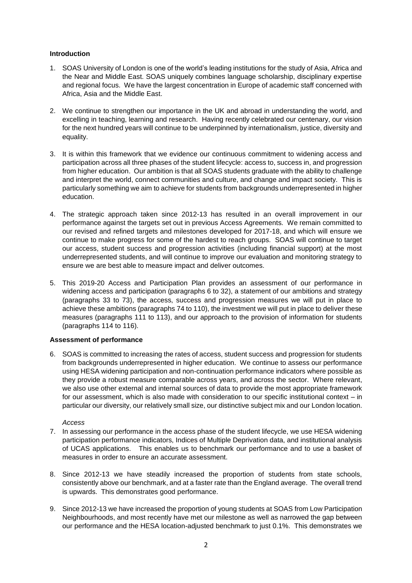# **Introduction**

- 1. SOAS University of London is one of the world's leading institutions for the study of Asia, Africa and the Near and Middle East. SOAS uniquely combines language scholarship, disciplinary expertise and regional focus. We have the largest concentration in Europe of academic staff concerned with Africa, Asia and the Middle East.
- 2. We continue to strengthen our importance in the UK and abroad in understanding the world, and excelling in teaching, learning and research. Having recently celebrated our centenary, our vision for the next hundred years will continue to be underpinned by internationalism, justice, diversity and equality.
- 3. It is within this framework that we evidence our continuous commitment to widening access and participation across all three phases of the student lifecycle: access to, success in, and progression from higher education. Our ambition is that all SOAS students graduate with the ability to challenge and interpret the world, connect communities and culture, and change and impact society. This is particularly something we aim to achieve for students from backgrounds underrepresented in higher education.
- 4. The strategic approach taken since 2012-13 has resulted in an overall improvement in our performance against the targets set out in previous Access Agreements. We remain committed to our revised and refined targets and milestones developed for 2017-18, and which will ensure we continue to make progress for some of the hardest to reach groups. SOAS will continue to target our access, student success and progression activities (including financial support) at the most underrepresented students, and will continue to improve our evaluation and monitoring strategy to ensure we are best able to measure impact and deliver outcomes.
- 5. This 2019-20 Access and Participation Plan provides an assessment of our performance in widening access and participation (paragraphs 6 to 32), a statement of our ambitions and strategy (paragraphs 33 to 73), the access, success and progression measures we will put in place to achieve these ambitions (paragraphs 74 to 110), the investment we will put in place to deliver these measures (paragraphs 111 to 113), and our approach to the provision of information for students (paragraphs 114 to 116).

# **Assessment of performance**

6. SOAS is committed to increasing the rates of access, student success and progression for students from backgrounds underrepresented in higher education. We continue to assess our performance using HESA widening participation and non-continuation performance indicators where possible as they provide a robust measure comparable across years, and across the sector. Where relevant, we also use other external and internal sources of data to provide the most appropriate framework for our assessment, which is also made with consideration to our specific institutional context – in particular our diversity, our relatively small size, our distinctive subject mix and our London location.

*Access*

- 7. In assessing our performance in the access phase of the student lifecycle, we use HESA widening participation performance indicators, Indices of Multiple Deprivation data, and institutional analysis of UCAS applications. This enables us to benchmark our performance and to use a basket of measures in order to ensure an accurate assessment.
- 8. Since 2012-13 we have steadily increased the proportion of students from state schools, consistently above our benchmark, and at a faster rate than the England average. The overall trend is upwards. This demonstrates good performance.
- 9. Since 2012-13 we have increased the proportion of young students at SOAS from Low Participation Neighbourhoods, and most recently have met our milestone as well as narrowed the gap between our performance and the HESA location-adjusted benchmark to just 0.1%. This demonstrates we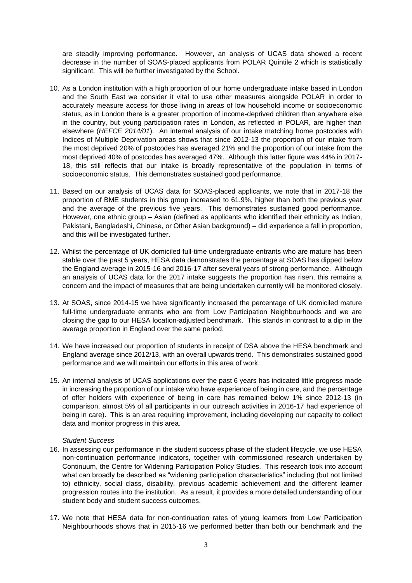are steadily improving performance. However, an analysis of UCAS data showed a recent decrease in the number of SOAS-placed applicants from POLAR Quintile 2 which is statistically significant. This will be further investigated by the School.

- 10. As a London institution with a high proportion of our home undergraduate intake based in London and the South East we consider it vital to use other measures alongside POLAR in order to accurately measure access for those living in areas of low household income or socioeconomic status, as in London there is a greater proportion of income-deprived children than anywhere else in the country, but young participation rates in London, as reflected in POLAR, are higher than elsewhere (*HEFCE 2014/01*). An internal analysis of our intake matching home postcodes with Indices of Multiple Deprivation areas shows that since 2012-13 the proportion of our intake from the most deprived 20% of postcodes has averaged 21% and the proportion of our intake from the most deprived 40% of postcodes has averaged 47%. Although this latter figure was 44% in 2017- 18, this still reflects that our intake is broadly representative of the population in terms of socioeconomic status. This demonstrates sustained good performance.
- 11. Based on our analysis of UCAS data for SOAS-placed applicants, we note that in 2017-18 the proportion of BME students in this group increased to 61.9%, higher than both the previous year and the average of the previous five years. This demonstrates sustained good performance. However, one ethnic group – Asian (defined as applicants who identified their ethnicity as Indian, Pakistani, Bangladeshi, Chinese, or Other Asian background) – did experience a fall in proportion, and this will be investigated further.
- 12. Whilst the percentage of UK domiciled full-time undergraduate entrants who are mature has been stable over the past 5 years, HESA data demonstrates the percentage at SOAS has dipped below the England average in 2015-16 and 2016-17 after several years of strong performance. Although an analysis of UCAS data for the 2017 intake suggests the proportion has risen, this remains a concern and the impact of measures that are being undertaken currently will be monitored closely.
- 13. At SOAS, since 2014-15 we have significantly increased the percentage of UK domiciled mature full-time undergraduate entrants who are from Low Participation Neighbourhoods and we are closing the gap to our HESA location-adjusted benchmark. This stands in contrast to a dip in the average proportion in England over the same period.
- 14. We have increased our proportion of students in receipt of DSA above the HESA benchmark and England average since 2012/13, with an overall upwards trend. This demonstrates sustained good performance and we will maintain our efforts in this area of work.
- 15. An internal analysis of UCAS applications over the past 6 years has indicated little progress made in increasing the proportion of our intake who have experience of being in care, and the percentage of offer holders with experience of being in care has remained below 1% since 2012-13 (in comparison, almost 5% of all participants in our outreach activities in 2016-17 had experience of being in care). This is an area requiring improvement, including developing our capacity to collect data and monitor progress in this area.

# *Student Success*

- 16. In assessing our performance in the student success phase of the student lifecycle, we use HESA non-continuation performance indicators, together with commissioned research undertaken by Continuum, the Centre for Widening Participation Policy Studies. This research took into account what can broadly be described as "widening participation characteristics" including (but not limited to) ethnicity, social class, disability, previous academic achievement and the different learner progression routes into the institution. As a result, it provides a more detailed understanding of our student body and student success outcomes.
- 17. We note that HESA data for non-continuation rates of young learners from Low Participation Neighbourhoods shows that in 2015-16 we performed better than both our benchmark and the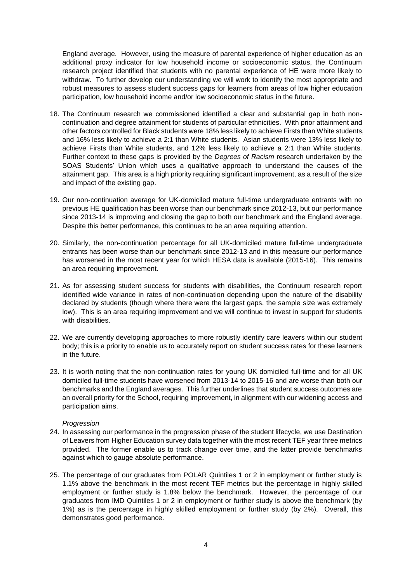England average. However, using the measure of parental experience of higher education as an additional proxy indicator for low household income or socioeconomic status, the Continuum research project identified that students with no parental experience of HE were more likely to withdraw. To further develop our understanding we will work to identify the most appropriate and robust measures to assess student success gaps for learners from areas of low higher education participation, low household income and/or low socioeconomic status in the future.

- 18. The Continuum research we commissioned identified a clear and substantial gap in both noncontinuation and degree attainment for students of particular ethnicities. With prior attainment and other factors controlled for Black students were 18% less likely to achieve Firsts than White students, and 16% less likely to achieve a 2:1 than White students. Asian students were 13% less likely to achieve Firsts than White students, and 12% less likely to achieve a 2:1 than White students. Further context to these gaps is provided by the *Degrees of Racism* research undertaken by the SOAS Students' Union which uses a qualitative approach to understand the causes of the attainment gap. This area is a high priority requiring significant improvement, as a result of the size and impact of the existing gap.
- 19. Our non-continuation average for UK-domiciled mature full-time undergraduate entrants with no previous HE qualification has been worse than our benchmark since 2012-13, but our performance since 2013-14 is improving and closing the gap to both our benchmark and the England average. Despite this better performance, this continues to be an area requiring attention.
- 20. Similarly, the non-continuation percentage for all UK-domiciled mature full-time undergraduate entrants has been worse than our benchmark since 2012-13 and in this measure our performance has worsened in the most recent year for which HESA data is available (2015-16). This remains an area requiring improvement.
- 21. As for assessing student success for students with disabilities, the Continuum research report identified wide variance in rates of non-continuation depending upon the nature of the disability declared by students (though where there were the largest gaps, the sample size was extremely low). This is an area requiring improvement and we will continue to invest in support for students with disabilities.
- 22. We are currently developing approaches to more robustly identify care leavers within our student body; this is a priority to enable us to accurately report on student success rates for these learners in the future.
- 23. It is worth noting that the non-continuation rates for young UK domiciled full-time and for all UK domiciled full-time students have worsened from 2013-14 to 2015-16 and are worse than both our benchmarks and the England averages. This further underlines that student success outcomes are an overall priority for the School, requiring improvement, in alignment with our widening access and participation aims.

# *Progression*

- 24. In assessing our performance in the progression phase of the student lifecycle, we use Destination of Leavers from Higher Education survey data together with the most recent TEF year three metrics provided. The former enable us to track change over time, and the latter provide benchmarks against which to gauge absolute performance.
- 25. The percentage of our graduates from POLAR Quintiles 1 or 2 in employment or further study is 1.1% above the benchmark in the most recent TEF metrics but the percentage in highly skilled employment or further study is 1.8% below the benchmark. However, the percentage of our graduates from IMD Quintiles 1 or 2 in employment or further study is above the benchmark (by 1%) as is the percentage in highly skilled employment or further study (by 2%). Overall, this demonstrates good performance.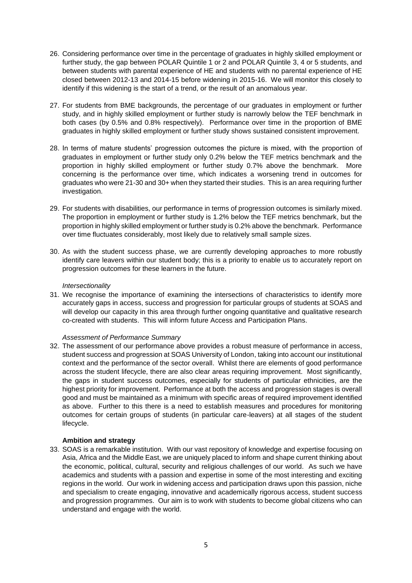- 26. Considering performance over time in the percentage of graduates in highly skilled employment or further study, the gap between POLAR Quintile 1 or 2 and POLAR Quintile 3, 4 or 5 students, and between students with parental experience of HE and students with no parental experience of HE closed between 2012-13 and 2014-15 before widening in 2015-16. We will monitor this closely to identify if this widening is the start of a trend, or the result of an anomalous year.
- 27. For students from BME backgrounds, the percentage of our graduates in employment or further study, and in highly skilled employment or further study is narrowly below the TEF benchmark in both cases (by 0.5% and 0.8% respectively). Performance over time in the proportion of BME graduates in highly skilled employment or further study shows sustained consistent improvement.
- 28. In terms of mature students' progression outcomes the picture is mixed, with the proportion of graduates in employment or further study only 0.2% below the TEF metrics benchmark and the proportion in highly skilled employment or further study 0.7% above the benchmark. More concerning is the performance over time, which indicates a worsening trend in outcomes for graduates who were 21-30 and 30+ when they started their studies. This is an area requiring further investigation.
- 29. For students with disabilities, our performance in terms of progression outcomes is similarly mixed. The proportion in employment or further study is 1.2% below the TEF metrics benchmark, but the proportion in highly skilled employment or further study is 0.2% above the benchmark. Performance over time fluctuates considerably, most likely due to relatively small sample sizes.
- 30. As with the student success phase, we are currently developing approaches to more robustly identify care leavers within our student body; this is a priority to enable us to accurately report on progression outcomes for these learners in the future.

# *Intersectionality*

31. We recognise the importance of examining the intersections of characteristics to identify more accurately gaps in access, success and progression for particular groups of students at SOAS and will develop our capacity in this area through further ongoing quantitative and qualitative research co-created with students. This will inform future Access and Participation Plans.

# *Assessment of Performance Summary*

32. The assessment of our performance above provides a robust measure of performance in access, student success and progression at SOAS University of London, taking into account our institutional context and the performance of the sector overall. Whilst there are elements of good performance across the student lifecycle, there are also clear areas requiring improvement. Most significantly, the gaps in student success outcomes, especially for students of particular ethnicities, are the highest priority for improvement. Performance at both the access and progression stages is overall good and must be maintained as a minimum with specific areas of required improvement identified as above. Further to this there is a need to establish measures and procedures for monitoring outcomes for certain groups of students (in particular care-leavers) at all stages of the student lifecycle.

# **Ambition and strategy**

33. SOAS is a remarkable institution. With our vast repository of knowledge and expertise focusing on Asia, Africa and the Middle East, we are uniquely placed to inform and shape current thinking about the economic, political, cultural, security and religious challenges of our world. As such we have academics and students with a passion and expertise in some of the most interesting and exciting regions in the world. Our work in widening access and participation draws upon this passion, niche and specialism to create engaging, innovative and academically rigorous access, student success and progression programmes. Our aim is to work with students to become global citizens who can understand and engage with the world.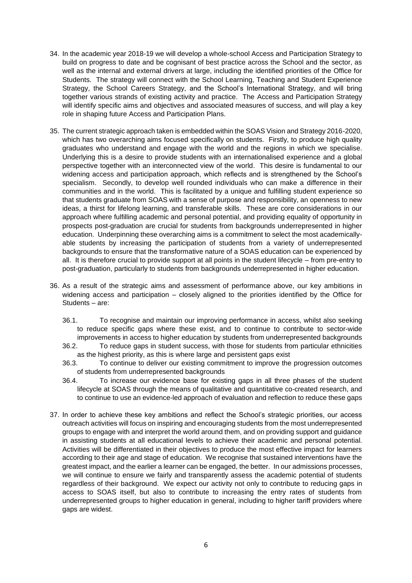- 34. In the academic year 2018-19 we will develop a whole-school Access and Participation Strategy to build on progress to date and be cognisant of best practice across the School and the sector, as well as the internal and external drivers at large, including the identified priorities of the Office for Students. The strategy will connect with the School Learning, Teaching and Student Experience Strategy, the School Careers Strategy, and the School's International Strategy, and will bring together various strands of existing activity and practice. The Access and Participation Strategy will identify specific aims and objectives and associated measures of success, and will play a key role in shaping future Access and Participation Plans.
- 35. The current strategic approach taken is embedded within the SOAS Vision and Strategy 2016-2020, which has two overarching aims focused specifically on students. Firstly, to produce high quality graduates who understand and engage with the world and the regions in which we specialise. Underlying this is a desire to provide students with an internationalised experience and a global perspective together with an interconnected view of the world. This desire is fundamental to our widening access and participation approach, which reflects and is strengthened by the School's specialism. Secondly, to develop well rounded individuals who can make a difference in their communities and in the world. This is facilitated by a unique and fulfilling student experience so that students graduate from SOAS with a sense of purpose and responsibility, an openness to new ideas, a thirst for lifelong learning, and transferable skills. These are core considerations in our approach where fulfilling academic and personal potential, and providing equality of opportunity in prospects post-graduation are crucial for students from backgrounds underrepresented in higher education. Underpinning these overarching aims is a commitment to select the most academicallyable students by increasing the participation of students from a variety of underrepresented backgrounds to ensure that the transformative nature of a SOAS education can be experienced by all. It is therefore crucial to provide support at all points in the student lifecycle – from pre-entry to post-graduation, particularly to students from backgrounds underrepresented in higher education.
- 36. As a result of the strategic aims and assessment of performance above, our key ambitions in widening access and participation – closely aligned to the priorities identified by the Office for Students – are:
	- 36.1. To recognise and maintain our improving performance in access, whilst also seeking to reduce specific gaps where these exist, and to continue to contribute to sector-wide improvements in access to higher education by students from underrepresented backgrounds
	- 36.2. To reduce gaps in student success, with those for students from particular ethnicities as the highest priority, as this is where large and persistent gaps exist
	- 36.3. To continue to deliver our existing commitment to improve the progression outcomes of students from underrepresented backgrounds
	- 36.4. To increase our evidence base for existing gaps in all three phases of the student lifecycle at SOAS through the means of qualitative and quantitative co-created research, and to continue to use an evidence-led approach of evaluation and reflection to reduce these gaps
- 37. In order to achieve these key ambitions and reflect the School's strategic priorities, our access outreach activities will focus on inspiring and encouraging students from the most underrepresented groups to engage with and interpret the world around them, and on providing support and guidance in assisting students at all educational levels to achieve their academic and personal potential. Activities will be differentiated in their objectives to produce the most effective impact for learners according to their age and stage of education. We recognise that sustained interventions have the greatest impact, and the earlier a learner can be engaged, the better. In our admissions processes, we will continue to ensure we fairly and transparently assess the academic potential of students regardless of their background. We expect our activity not only to contribute to reducing gaps in access to SOAS itself, but also to contribute to increasing the entry rates of students from underrepresented groups to higher education in general, including to higher tariff providers where gaps are widest.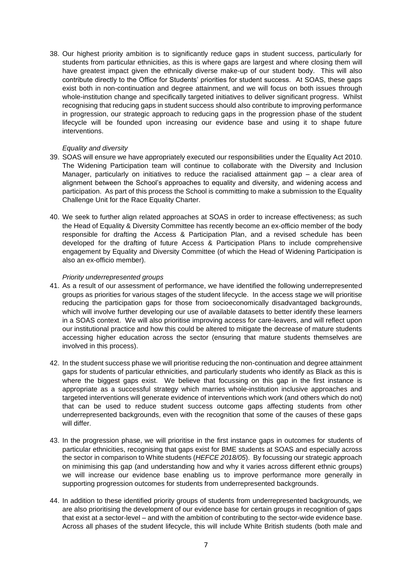38. Our highest priority ambition is to significantly reduce gaps in student success, particularly for students from particular ethnicities, as this is where gaps are largest and where closing them will have greatest impact given the ethnically diverse make-up of our student body. This will also contribute directly to the Office for Students' priorities for student success. At SOAS, these gaps exist both in non-continuation and degree attainment, and we will focus on both issues through whole-institution change and specifically targeted initiatives to deliver significant progress. Whilst recognising that reducing gaps in student success should also contribute to improving performance in progression, our strategic approach to reducing gaps in the progression phase of the student lifecycle will be founded upon increasing our evidence base and using it to shape future interventions.

#### *Equality and diversity*

- 39. SOAS will ensure we have appropriately executed our responsibilities under the Equality Act 2010. The Widening Participation team will continue to collaborate with the Diversity and Inclusion Manager, particularly on initiatives to reduce the racialised attainment gap – a clear area of alignment between the School's approaches to equality and diversity, and widening access and participation. As part of this process the School is committing to make a submission to the Equality Challenge Unit for the Race Equality Charter.
- 40. We seek to further align related approaches at SOAS in order to increase effectiveness; as such the Head of Equality & Diversity Committee has recently become an ex-officio member of the body responsible for drafting the Access & Participation Plan, and a revised schedule has been developed for the drafting of future Access & Participation Plans to include comprehensive engagement by Equality and Diversity Committee (of which the Head of Widening Participation is also an ex-officio member).

#### *Priority underrepresented groups*

- 41. As a result of our assessment of performance, we have identified the following underrepresented groups as priorities for various stages of the student lifecycle. In the access stage we will prioritise reducing the participation gaps for those from socioeconomically disadvantaged backgrounds, which will involve further developing our use of available datasets to better identify these learners in a SOAS context. We will also prioritise improving access for care-leavers, and will reflect upon our institutional practice and how this could be altered to mitigate the decrease of mature students accessing higher education across the sector (ensuring that mature students themselves are involved in this process).
- 42. In the student success phase we will prioritise reducing the non-continuation and degree attainment gaps for students of particular ethnicities, and particularly students who identify as Black as this is where the biggest gaps exist. We believe that focussing on this gap in the first instance is appropriate as a successful strategy which marries whole-institution inclusive approaches and targeted interventions will generate evidence of interventions which work (and others which do not) that can be used to reduce student success outcome gaps affecting students from other underrepresented backgrounds, even with the recognition that some of the causes of these gaps will differ.
- 43. In the progression phase, we will prioritise in the first instance gaps in outcomes for students of particular ethnicities, recognising that gaps exist for BME students at SOAS and especially across the sector in comparison to White students (*HEFCE 2018/05*). By focussing our strategic approach on minimising this gap (and understanding how and why it varies across different ethnic groups) we will increase our evidence base enabling us to improve performance more generally in supporting progression outcomes for students from underrepresented backgrounds.
- 44. In addition to these identified priority groups of students from underrepresented backgrounds, we are also prioritising the development of our evidence base for certain groups in recognition of gaps that exist at a sector-level – and with the ambition of contributing to the sector-wide evidence base. Across all phases of the student lifecycle, this will include White British students (both male and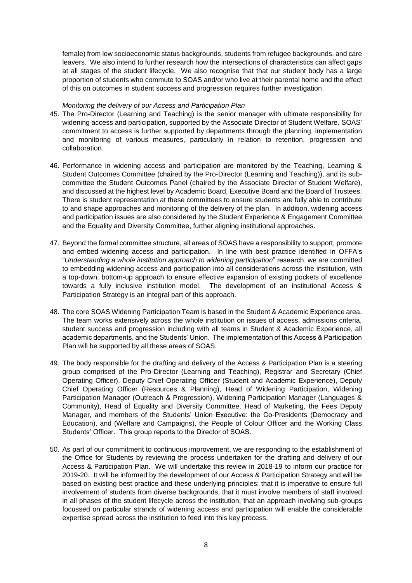female) from low socioeconomic status backgrounds, students from refugee backgrounds, and care leavers. We also intend to further research how the intersections of characteristics can affect gaps at all stages of the student lifecycle. We also recognise that that our student body has a large proportion of students who commute to SOAS and/or who live at their parental home and the effect of this on outcomes in student success and progression requires further investigation.

#### *Monitoring the delivery of our Access and Participation Plan*

- 45. The Pro-Director (Learning and Teaching) is the senior manager with ultimate responsibility for widening access and participation, supported by the Associate Director of Student Welfare. SOAS' commitment to access is further supported by departments through the planning, implementation and monitoring of various measures, particularly in relation to retention, progression and collaboration.
- 46. Performance in widening access and participation are monitored by the Teaching, Learning & Student Outcomes Committee (chaired by the Pro-Director (Learning and Teaching)), and its subcommittee the Student Outcomes Panel (chaired by the Associate Director of Student Welfare), and discussed at the highest level by Academic Board, Executive Board and the Board of Trustees. There is student representation at these committees to ensure students are fully able to contribute to and shape approaches and monitoring of the delivery of the plan. In addition, widening access and participation issues are also considered by the Student Experience & Engagement Committee and the Equality and Diversity Committee, further aligning institutional approaches.
- 47. Beyond the formal committee structure, all areas of SOAS have a responsibility to support, promote and embed widening access and participation. In line with best practice identified in OFFA's "*Understanding a whole institution approach to widening participation*" research, we are committed to embedding widening access and participation into all considerations across the institution, with a top-down, bottom-up approach to ensure effective expansion of existing pockets of excellence towards a fully inclusive institution model. The development of an institutional Access & Participation Strategy is an integral part of this approach.
- 48. The core SOAS Widening Participation Team is based in the Student & Academic Experience area. The team works extensively across the whole institution on issues of access, admissions criteria, student success and progression including with all teams in Student & Academic Experience, all academic departments, and the Students' Union. The implementation of this Access & Participation Plan will be supported by all these areas of SOAS.
- 49. The body responsible for the drafting and delivery of the Access & Participation Plan is a steering group comprised of the Pro-Director (Learning and Teaching), Registrar and Secretary (Chief Operating Officer), Deputy Chief Operating Officer (Student and Academic Experience), Deputy Chief Operating Officer (Resources & Planning), Head of Widening Participation, Widening Participation Manager (Outreach & Progression), Widening Participation Manager (Languages & Community), Head of Equality and Diversity Committee, Head of Marketing, the Fees Deputy Manager, and members of the Students' Union Executive: the Co-Presidents (Democracy and Education), and (Welfare and Campaigns), the People of Colour Officer and the Working Class Students' Officer. This group reports to the Director of SOAS.
- 50. As part of our commitment to continuous improvement, we are responding to the establishment of the Office for Students by reviewing the process undertaken for the drafting and delivery of our Access & Participation Plan. We will undertake this review in 2018-19 to inform our practice for 2019-20. It will be informed by the development of our Access & Participation Strategy and will be based on existing best practice and these underlying principles: that it is imperative to ensure full involvement of students from diverse backgrounds, that it must involve members of staff involved in all phases of the student lifecycle across the institution, that an approach involving sub-groups focussed on particular strands of widening access and participation will enable the considerable expertise spread across the institution to feed into this key process.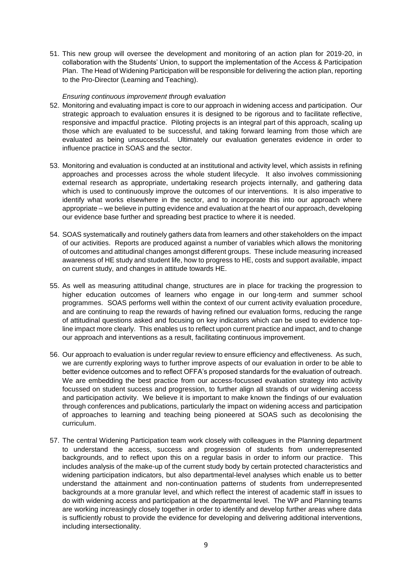51. This new group will oversee the development and monitoring of an action plan for 2019-20, in collaboration with the Students' Union, to support the implementation of the Access & Participation Plan. The Head of Widening Participation will be responsible for delivering the action plan, reporting to the Pro-Director (Learning and Teaching).

#### *Ensuring continuous improvement through evaluation*

- 52. Monitoring and evaluating impact is core to our approach in widening access and participation. Our strategic approach to evaluation ensures it is designed to be rigorous and to facilitate reflective, responsive and impactful practice. Piloting projects is an integral part of this approach, scaling up those which are evaluated to be successful, and taking forward learning from those which are evaluated as being unsuccessful. Ultimately our evaluation generates evidence in order to influence practice in SOAS and the sector.
- 53. Monitoring and evaluation is conducted at an institutional and activity level, which assists in refining approaches and processes across the whole student lifecycle. It also involves commissioning external research as appropriate, undertaking research projects internally, and gathering data which is used to continuously improve the outcomes of our interventions. It is also imperative to identify what works elsewhere in the sector, and to incorporate this into our approach where appropriate – we believe in putting evidence and evaluation at the heart of our approach, developing our evidence base further and spreading best practice to where it is needed.
- 54. SOAS systematically and routinely gathers data from learners and other stakeholders on the impact of our activities. Reports are produced against a number of variables which allows the monitoring of outcomes and attitudinal changes amongst different groups. These include measuring increased awareness of HE study and student life, how to progress to HE, costs and support available, impact on current study, and changes in attitude towards HE.
- 55. As well as measuring attitudinal change, structures are in place for tracking the progression to higher education outcomes of learners who engage in our long-term and summer school programmes. SOAS performs well within the context of our current activity evaluation procedure, and are continuing to reap the rewards of having refined our evaluation forms, reducing the range of attitudinal questions asked and focusing on key indicators which can be used to evidence topline impact more clearly. This enables us to reflect upon current practice and impact, and to change our approach and interventions as a result, facilitating continuous improvement.
- 56. Our approach to evaluation is under regular review to ensure efficiency and effectiveness. As such, we are currently exploring ways to further improve aspects of our evaluation in order to be able to better evidence outcomes and to reflect OFFA's proposed standards for the evaluation of outreach. We are embedding the best practice from our access-focussed evaluation strategy into activity focussed on student success and progression, to further align all strands of our widening access and participation activity. We believe it is important to make known the findings of our evaluation through conferences and publications, particularly the impact on widening access and participation of approaches to learning and teaching being pioneered at SOAS such as decolonising the curriculum.
- 57. The central Widening Participation team work closely with colleagues in the Planning department to understand the access, success and progression of students from underrepresented backgrounds, and to reflect upon this on a regular basis in order to inform our practice. This includes analysis of the make-up of the current study body by certain protected characteristics and widening participation indicators, but also departmental-level analyses which enable us to better understand the attainment and non-continuation patterns of students from underrepresented backgrounds at a more granular level, and which reflect the interest of academic staff in issues to do with widening access and participation at the departmental level. The WP and Planning teams are working increasingly closely together in order to identify and develop further areas where data is sufficiently robust to provide the evidence for developing and delivering additional interventions, including intersectionality.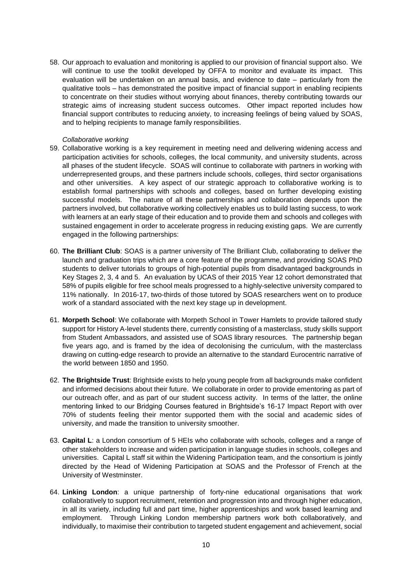58. Our approach to evaluation and monitoring is applied to our provision of financial support also. We will continue to use the toolkit developed by OFFA to monitor and evaluate its impact. This evaluation will be undertaken on an annual basis, and evidence to date – particularly from the qualitative tools – has demonstrated the positive impact of financial support in enabling recipients to concentrate on their studies without worrying about finances, thereby contributing towards our strategic aims of increasing student success outcomes. Other impact reported includes how financial support contributes to reducing anxiety, to increasing feelings of being valued by SOAS, and to helping recipients to manage family responsibilities.

#### *Collaborative working*

- 59. Collaborative working is a key requirement in meeting need and delivering widening access and participation activities for schools, colleges, the local community, and university students, across all phases of the student lifecycle. SOAS will continue to collaborate with partners in working with underrepresented groups, and these partners include schools, colleges, third sector organisations and other universities. A key aspect of our strategic approach to collaborative working is to establish formal partnerships with schools and colleges, based on further developing existing successful models. The nature of all these partnerships and collaboration depends upon the partners involved, but collaborative working collectively enables us to build lasting success, to work with learners at an early stage of their education and to provide them and schools and colleges with sustained engagement in order to accelerate progress in reducing existing gaps. We are currently engaged in the following partnerships:
- 60. **The Brilliant Club**: SOAS is a partner university of The Brilliant Club, collaborating to deliver the launch and graduation trips which are a core feature of the programme, and providing SOAS PhD students to deliver tutorials to groups of high-potential pupils from disadvantaged backgrounds in Key Stages 2, 3, 4 and 5. An evaluation by UCAS of their 2015 Year 12 cohort demonstrated that 58% of pupils eligible for free school meals progressed to a highly-selective university compared to 11% nationally. In 2016-17, two-thirds of those tutored by SOAS researchers went on to produce work of a standard associated with the next key stage up in development.
- 61. **Morpeth School**: We collaborate with Morpeth School in Tower Hamlets to provide tailored study support for History A-level students there, currently consisting of a masterclass, study skills support from Student Ambassadors, and assisted use of SOAS library resources. The partnership began five years ago, and is framed by the idea of decolonising the curriculum, with the masterclass drawing on cutting-edge research to provide an alternative to the standard Eurocentric narrative of the world between 1850 and 1950.
- 62. **The Brightside Trust**: Brightside exists to help young people from all backgrounds make confident and informed decisions about their future. We collaborate in order to provide ementoring as part of our outreach offer, and as part of our student success activity. In terms of the latter, the online mentoring linked to our Bridging Courses featured in Brightside's 16-17 Impact Report with over 70% of students feeling their mentor supported them with the social and academic sides of university, and made the transition to university smoother.
- 63. **Capital L**: a London consortium of 5 HEIs who collaborate with schools, colleges and a range of other stakeholders to increase and widen participation in language studies in schools, colleges and universities. Capital L staff sit within the Widening Participation team, and the consortium is jointly directed by the Head of Widening Participation at SOAS and the Professor of French at the University of Westminster.
- 64. **Linking London**: a unique partnership of forty-nine educational organisations that work collaboratively to support recruitment, retention and progression into and through higher education, in all its variety, including full and part time, higher apprenticeships and work based learning and employment. Through Linking London membership partners work both collaboratively, and individually, to maximise their contribution to targeted student engagement and achievement, social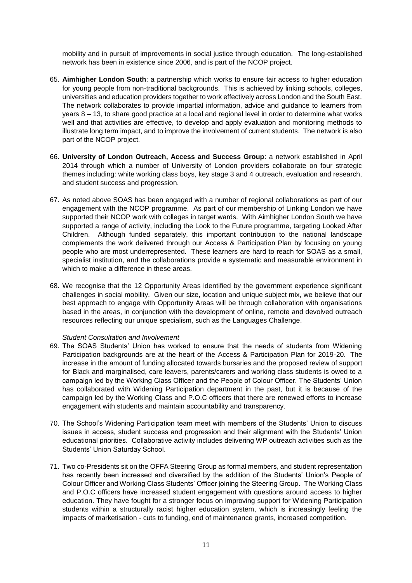mobility and in pursuit of improvements in social justice through education. The long-established network has been in existence since 2006, and is part of the NCOP project.

- 65. **Aimhigher London South**: a partnership which works to ensure fair access to higher education for young people from non-traditional backgrounds. This is achieved by linking schools, colleges, universities and education providers together to work effectively across London and the South East. The network collaborates to provide impartial information, advice and guidance to learners from years 8 – 13, to share good practice at a local and regional level in order to determine what works well and that activities are effective, to develop and apply evaluation and monitoring methods to illustrate long term impact, and to improve the involvement of current students. The network is also part of the NCOP project.
- 66. **University of London Outreach, Access and Success Group**: a network established in April 2014 through which a number of University of London providers collaborate on four strategic themes including: white working class boys, key stage 3 and 4 outreach, evaluation and research, and student success and progression.
- 67. As noted above SOAS has been engaged with a number of regional collaborations as part of our engagement with the NCOP programme. As part of our membership of Linking London we have supported their NCOP work with colleges in target wards. With Aimhigher London South we have supported a range of activity, including the Look to the Future programme, targeting Looked After Children. Although funded separately, this important contribution to the national landscape complements the work delivered through our Access & Participation Plan by focusing on young people who are most underrepresented. These learners are hard to reach for SOAS as a small, specialist institution, and the collaborations provide a systematic and measurable environment in which to make a difference in these areas.
- 68. We recognise that the 12 Opportunity Areas identified by the government experience significant challenges in social mobility. Given our size, location and unique subject mix, we believe that our best approach to engage with Opportunity Areas will be through collaboration with organisations based in the areas, in conjunction with the development of online, remote and devolved outreach resources reflecting our unique specialism, such as the Languages Challenge.

#### *Student Consultation and Involvement*

- 69. The SOAS Students' Union has worked to ensure that the needs of students from Widening Participation backgrounds are at the heart of the Access & Participation Plan for 2019-20. The increase in the amount of funding allocated towards bursaries and the proposed review of support for Black and marginalised, care leavers, parents/carers and working class students is owed to a campaign led by the Working Class Officer and the People of Colour Officer. The Students' Union has collaborated with Widening Participation department in the past, but it is because of the campaign led by the Working Class and P.O.C officers that there are renewed efforts to increase engagement with students and maintain accountability and transparency.
- 70. The School's Widening Participation team meet with members of the Students' Union to discuss issues in access, student success and progression and their alignment with the Students' Union educational priorities. Collaborative activity includes delivering WP outreach activities such as the Students' Union Saturday School.
- 71. Two co-Presidents sit on the OFFA Steering Group as formal members, and student representation has recently been increased and diversified by the addition of the Students' Union's People of Colour Officer and Working Class Students' Officer joining the Steering Group. The Working Class and P.O.C officers have increased student engagement with questions around access to higher education. They have fought for a stronger focus on improving support for Widening Participation students within a structurally racist higher education system, which is increasingly feeling the impacts of marketisation - cuts to funding, end of maintenance grants, increased competition.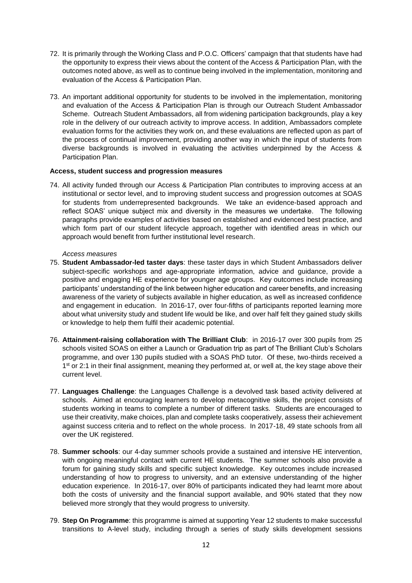- 72. It is primarily through the Working Class and P.O.C. Officers' campaign that that students have had the opportunity to express their views about the content of the Access & Participation Plan, with the outcomes noted above, as well as to continue being involved in the implementation, monitoring and evaluation of the Access & Participation Plan.
- 73. An important additional opportunity for students to be involved in the implementation, monitoring and evaluation of the Access & Participation Plan is through our Outreach Student Ambassador Scheme. Outreach Student Ambassadors, all from widening participation backgrounds, play a key role in the delivery of our outreach activity to improve access. In addition, Ambassadors complete evaluation forms for the activities they work on, and these evaluations are reflected upon as part of the process of continual improvement, providing another way in which the input of students from diverse backgrounds is involved in evaluating the activities underpinned by the Access & Participation Plan.

#### **Access, student success and progression measures**

74. All activity funded through our Access & Participation Plan contributes to improving access at an institutional or sector level, and to improving student success and progression outcomes at SOAS for students from underrepresented backgrounds. We take an evidence-based approach and reflect SOAS' unique subject mix and diversity in the measures we undertake. The following paragraphs provide examples of activities based on established and evidenced best practice, and which form part of our student lifecycle approach, together with identified areas in which our approach would benefit from further institutional level research.

#### *Access measures*

- 75. **Student Ambassador-led taster days**: these taster days in which Student Ambassadors deliver subject-specific workshops and age-appropriate information, advice and guidance, provide a positive and engaging HE experience for younger age groups. Key outcomes include increasing participants' understanding of the link between higher education and career benefits, and increasing awareness of the variety of subjects available in higher education, as well as increased confidence and engagement in education. In 2016-17, over four-fifths of participants reported learning more about what university study and student life would be like, and over half felt they gained study skills or knowledge to help them fulfil their academic potential.
- 76. **Attainment-raising collaboration with The Brilliant Club**: in 2016-17 over 300 pupils from 25 schools visited SOAS on either a Launch or Graduation trip as part of The Brilliant Club's Scholars programme, and over 130 pupils studied with a SOAS PhD tutor. Of these, two-thirds received a 1<sup>st</sup> or 2:1 in their final assignment, meaning they performed at, or well at, the key stage above their current level.
- 77. **Languages Challenge**: the Languages Challenge is a devolved task based activity delivered at schools. Aimed at encouraging learners to develop metacognitive skills, the project consists of students working in teams to complete a number of different tasks. Students are encouraged to use their creativity, make choices, plan and complete tasks cooperatively, assess their achievement against success criteria and to reflect on the whole process. In 2017-18, 49 state schools from all over the UK registered.
- 78. **Summer schools**: our 4-day summer schools provide a sustained and intensive HE intervention, with ongoing meaningful contact with current HE students. The summer schools also provide a forum for gaining study skills and specific subject knowledge. Key outcomes include increased understanding of how to progress to university, and an extensive understanding of the higher education experience. In 2016-17, over 80% of participants indicated they had learnt more about both the costs of university and the financial support available, and 90% stated that they now believed more strongly that they would progress to university.
- 79. **Step On Programme**: this programme is aimed at supporting Year 12 students to make successful transitions to A-level study, including through a series of study skills development sessions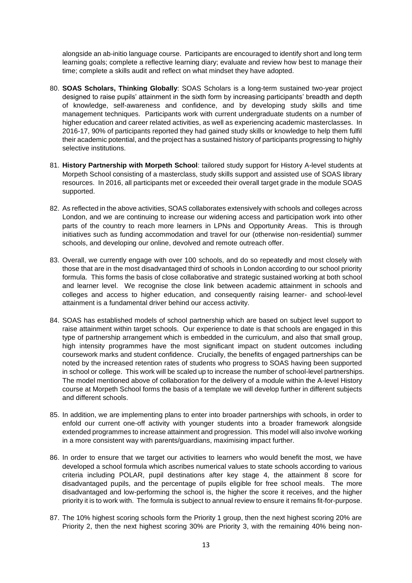alongside an ab-initio language course. Participants are encouraged to identify short and long term learning goals; complete a reflective learning diary; evaluate and review how best to manage their time; complete a skills audit and reflect on what mindset they have adopted.

- 80. **SOAS Scholars, Thinking Globally**: SOAS Scholars is a long-term sustained two-year project designed to raise pupils' attainment in the sixth form by increasing participants' breadth and depth of knowledge, self-awareness and confidence, and by developing study skills and time management techniques. Participants work with current undergraduate students on a number of higher education and career related activities, as well as experiencing academic masterclasses. In 2016-17, 90% of participants reported they had gained study skills or knowledge to help them fulfil their academic potential, and the project has a sustained history of participants progressing to highly selective institutions.
- 81. **History Partnership with Morpeth School**: tailored study support for History A-level students at Morpeth School consisting of a masterclass, study skills support and assisted use of SOAS library resources. In 2016, all participants met or exceeded their overall target grade in the module SOAS supported.
- 82. As reflected in the above activities, SOAS collaborates extensively with schools and colleges across London, and we are continuing to increase our widening access and participation work into other parts of the country to reach more learners in LPNs and Opportunity Areas. This is through initiatives such as funding accommodation and travel for our (otherwise non-residential) summer schools, and developing our online, devolved and remote outreach offer.
- 83. Overall, we currently engage with over 100 schools, and do so repeatedly and most closely with those that are in the most disadvantaged third of schools in London according to our school priority formula. This forms the basis of close collaborative and strategic sustained working at both school and learner level. We recognise the close link between academic attainment in schools and colleges and access to higher education, and consequently raising learner- and school-level attainment is a fundamental driver behind our access activity.
- 84. SOAS has established models of school partnership which are based on subject level support to raise attainment within target schools. Our experience to date is that schools are engaged in this type of partnership arrangement which is embedded in the curriculum, and also that small group, high intensity programmes have the most significant impact on student outcomes including coursework marks and student confidence. Crucially, the benefits of engaged partnerships can be noted by the increased retention rates of students who progress to SOAS having been supported in school or college. This work will be scaled up to increase the number of school-level partnerships. The model mentioned above of collaboration for the delivery of a module within the A-level History course at Morpeth School forms the basis of a template we will develop further in different subjects and different schools.
- 85. In addition, we are implementing plans to enter into broader partnerships with schools, in order to enfold our current one-off activity with younger students into a broader framework alongside extended programmes to increase attainment and progression. This model will also involve working in a more consistent way with parents/guardians, maximising impact further.
- 86. In order to ensure that we target our activities to learners who would benefit the most, we have developed a school formula which ascribes numerical values to state schools according to various criteria including POLAR, pupil destinations after key stage 4, the attainment 8 score for disadvantaged pupils, and the percentage of pupils eligible for free school meals. The more disadvantaged and low-performing the school is, the higher the score it receives, and the higher priority it is to work with. The formula is subject to annual review to ensure it remains fit-for-purpose.
- 87. The 10% highest scoring schools form the Priority 1 group, then the next highest scoring 20% are Priority 2, then the next highest scoring 30% are Priority 3, with the remaining 40% being non-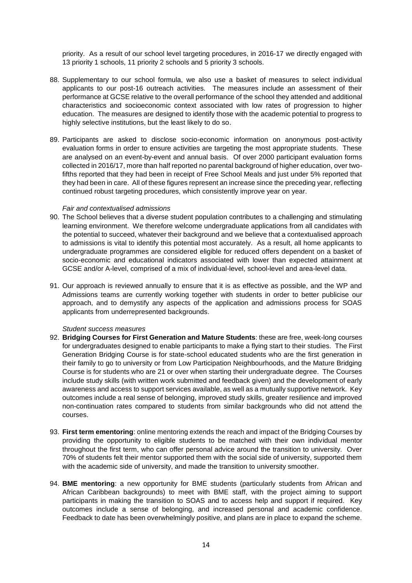priority. As a result of our school level targeting procedures, in 2016-17 we directly engaged with 13 priority 1 schools, 11 priority 2 schools and 5 priority 3 schools.

- 88. Supplementary to our school formula, we also use a basket of measures to select individual applicants to our post-16 outreach activities. The measures include an assessment of their performance at GCSE relative to the overall performance of the school they attended and additional characteristics and socioeconomic context associated with low rates of progression to higher education. The measures are designed to identify those with the academic potential to progress to highly selective institutions, but the least likely to do so.
- 89. Participants are asked to disclose socio-economic information on anonymous post-activity evaluation forms in order to ensure activities are targeting the most appropriate students. These are analysed on an event-by-event and annual basis. Of over 2000 participant evaluation forms collected in 2016/17, more than half reported no parental background of higher education, over twofifths reported that they had been in receipt of Free School Meals and just under 5% reported that they had been in care. All of these figures represent an increase since the preceding year, reflecting continued robust targeting procedures, which consistently improve year on year.

#### *Fair and contextualised admissions*

- 90. The School believes that a diverse student population contributes to a challenging and stimulating learning environment. We therefore welcome undergraduate applications from all candidates with the potential to succeed, whatever their background and we believe that a contextualised approach to admissions is vital to identify this potential most accurately. As a result, all home applicants to undergraduate programmes are considered eligible for reduced offers dependent on a basket of socio-economic and educational indicators associated with lower than expected attainment at GCSE and/or A-level, comprised of a mix of individual-level, school-level and area-level data.
- 91. Our approach is reviewed annually to ensure that it is as effective as possible, and the WP and Admissions teams are currently working together with students in order to better publicise our approach, and to demystify any aspects of the application and admissions process for SOAS applicants from underrepresented backgrounds.

#### *Student success measures*

- 92. **Bridging Courses for First Generation and Mature Students**: these are free, week-long courses for undergraduates designed to enable participants to make a flying start to their studies. The First Generation Bridging Course is for state-school educated students who are the first generation in their family to go to university or from Low Participation Neighbourhoods, and the Mature Bridging Course is for students who are 21 or over when starting their undergraduate degree. The Courses include study skills (with written work submitted and feedback given) and the development of early awareness and access to support services available, as well as a mutually supportive network. Key outcomes include a real sense of belonging, improved study skills, greater resilience and improved non-continuation rates compared to students from similar backgrounds who did not attend the courses.
- 93. **First term ementoring**: online mentoring extends the reach and impact of the Bridging Courses by providing the opportunity to eligible students to be matched with their own individual mentor throughout the first term, who can offer personal advice around the transition to university. Over 70% of students felt their mentor supported them with the social side of university, supported them with the academic side of university, and made the transition to university smoother.
- 94. **BME mentoring**: a new opportunity for BME students (particularly students from African and African Caribbean backgrounds) to meet with BME staff, with the project aiming to support participants in making the transition to SOAS and to access help and support if required. Key outcomes include a sense of belonging, and increased personal and academic confidence. Feedback to date has been overwhelmingly positive, and plans are in place to expand the scheme.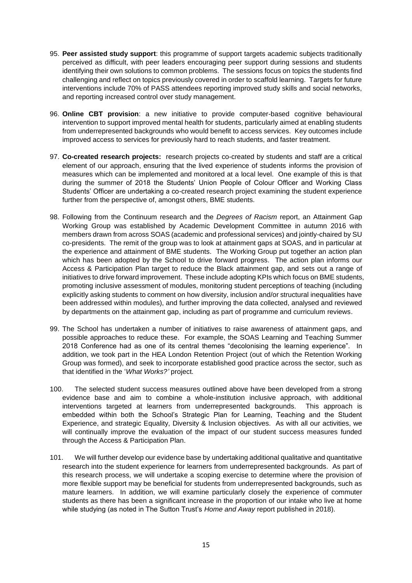- 95. **Peer assisted study support**: this programme of support targets academic subjects traditionally perceived as difficult, with peer leaders encouraging peer support during sessions and students identifying their own solutions to common problems. The sessions focus on topics the students find challenging and reflect on topics previously covered in order to scaffold learning. Targets for future interventions include 70% of PASS attendees reporting improved study skills and social networks, and reporting increased control over study management.
- 96. **Online CBT provision**: a new initiative to provide computer-based cognitive behavioural intervention to support improved mental health for students, particularly aimed at enabling students from underrepresented backgrounds who would benefit to access services. Key outcomes include improved access to services for previously hard to reach students, and faster treatment.
- 97. **Co-created research projects:** research projects co-created by students and staff are a critical element of our approach, ensuring that the lived experience of students informs the provision of measures which can be implemented and monitored at a local level. One example of this is that during the summer of 2018 the Students' Union People of Colour Officer and Working Class Students' Officer are undertaking a co-created research project examining the student experience further from the perspective of, amongst others, BME students.
- 98. Following from the Continuum research and the *Degrees of Racism* report, an Attainment Gap Working Group was established by Academic Development Committee in autumn 2016 with members drawn from across SOAS (academic and professional services) and jointly-chaired by SU co-presidents. The remit of the group was to look at attainment gaps at SOAS, and in particular at the experience and attainment of BME students. The Working Group put together an action plan which has been adopted by the School to drive forward progress. The action plan informs our Access & Participation Plan target to reduce the Black attainment gap, and sets out a range of initiatives to drive forward improvement. These include adopting KPIs which focus on BME students, promoting inclusive assessment of modules, monitoring student perceptions of teaching (including explicitly asking students to comment on how diversity, inclusion and/or structural inequalities have been addressed within modules), and further improving the data collected, analysed and reviewed by departments on the attainment gap, including as part of programme and curriculum reviews.
- 99. The School has undertaken a number of initiatives to raise awareness of attainment gaps, and possible approaches to reduce these. For example, the SOAS Learning and Teaching Summer 2018 Conference had as one of its central themes "decolonising the learning experience". In addition, we took part in the HEA London Retention Project (out of which the Retention Working Group was formed), and seek to incorporate established good practice across the sector, such as that identified in the '*What Works?'* project.
- 100. The selected student success measures outlined above have been developed from a strong evidence base and aim to combine a whole-institution inclusive approach, with additional interventions targeted at learners from underrepresented backgrounds. This approach is embedded within both the School's Strategic Plan for Learning, Teaching and the Student Experience, and strategic Equality, Diversity & Inclusion objectives. As with all our activities, we will continually improve the evaluation of the impact of our student success measures funded through the Access & Participation Plan.
- 101. We will further develop our evidence base by undertaking additional qualitative and quantitative research into the student experience for learners from underrepresented backgrounds. As part of this research process, we will undertake a scoping exercise to determine where the provision of more flexible support may be beneficial for students from underrepresented backgrounds, such as mature learners. In addition, we will examine particularly closely the experience of commuter students as there has been a significant increase in the proportion of our intake who live at home while studying (as noted in The Sutton Trust's *Home and Away* report published in 2018).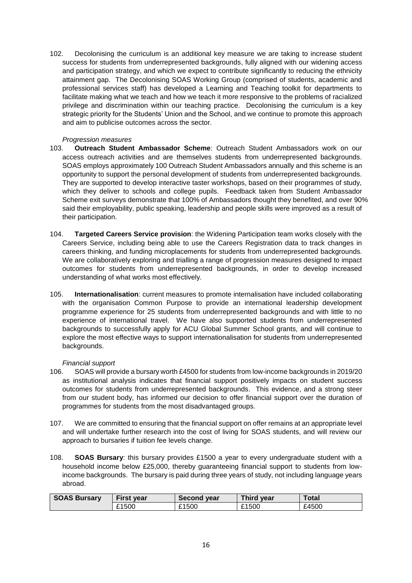102. Decolonising the curriculum is an additional key measure we are taking to increase student success for students from underrepresented backgrounds, fully aligned with our widening access and participation strategy, and which we expect to contribute significantly to reducing the ethnicity attainment gap. The Decolonising SOAS Working Group (comprised of students, academic and professional services staff) has developed a Learning and Teaching toolkit for departments to facilitate making what we teach and how we teach it more responsive to the problems of racialized privilege and discrimination within our teaching practice. Decolonising the curriculum is a key strategic priority for the Students' Union and the School, and we continue to promote this approach and aim to publicise outcomes across the sector.

#### *Progression measures*

- 103. **Outreach Student Ambassador Scheme**: Outreach Student Ambassadors work on our access outreach activities and are themselves students from underrepresented backgrounds. SOAS employs approximately 100 Outreach Student Ambassadors annually and this scheme is an opportunity to support the personal development of students from underrepresented backgrounds. They are supported to develop interactive taster workshops, based on their programmes of study, which they deliver to schools and college pupils. Feedback taken from Student Ambassador Scheme exit surveys demonstrate that 100% of Ambassadors thought they benefited, and over 90% said their employability, public speaking, leadership and people skills were improved as a result of their participation.
- 104. **Targeted Careers Service provision**: the Widening Participation team works closely with the Careers Service, including being able to use the Careers Registration data to track changes in careers thinking, and funding microplacements for students from underrepresented backgrounds. We are collaboratively exploring and trialling a range of progression measures designed to impact outcomes for students from underrepresented backgrounds, in order to develop increased understanding of what works most effectively.
- 105. **Internationalisation**: current measures to promote internalisation have included collaborating with the organisation Common Purpose to provide an international leadership development programme experience for 25 students from underrepresented backgrounds and with little to no experience of international travel. We have also supported students from underrepresented backgrounds to successfully apply for ACU Global Summer School grants, and will continue to explore the most effective ways to support internationalisation for students from underrepresented backgrounds.

# *Financial support*

- 106. SOAS will provide a bursary worth £4500 for students from low-income backgrounds in 2019/20 as institutional analysis indicates that financial support positively impacts on student success outcomes for students from underrepresented backgrounds. This evidence, and a strong steer from our student body, has informed our decision to offer financial support over the duration of programmes for students from the most disadvantaged groups.
- 107. We are committed to ensuring that the financial support on offer remains at an appropriate level and will undertake further research into the cost of living for SOAS students, and will review our approach to bursaries if tuition fee levels change.
- 108. **SOAS Bursary**: this bursary provides £1500 a year to every undergraduate student with a household income below £25,000, thereby guaranteeing financial support to students from lowincome backgrounds. The bursary is paid during three years of study, not including language years abroad.

| <b>SOAS Bursary</b> | First year | <b>Second vear</b> | Third year | Total |  |  |
|---------------------|------------|--------------------|------------|-------|--|--|
|                     | £1500      | £1500              | £1500      | £4500 |  |  |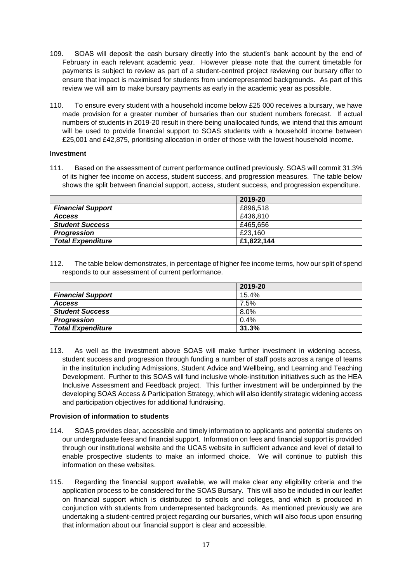- 109. SOAS will deposit the cash bursary directly into the student's bank account by the end of February in each relevant academic year. However please note that the current timetable for payments is subject to review as part of a student-centred project reviewing our bursary offer to ensure that impact is maximised for students from underrepresented backgrounds. As part of this review we will aim to make bursary payments as early in the academic year as possible.
- 110. To ensure every student with a household income below £25 000 receives a bursary, we have made provision for a greater number of bursaries than our student numbers forecast. If actual numbers of students in 2019-20 result in there being unallocated funds, we intend that this amount will be used to provide financial support to SOAS students with a household income between £25,001 and £42,875, prioritising allocation in order of those with the lowest household income.

#### **Investment**

111. Based on the assessment of current performance outlined previously, SOAS will commit 31.3% of its higher fee income on access, student success, and progression measures. The table below shows the split between financial support, access, student success, and progression expenditure.

|                          | 2019-20    |
|--------------------------|------------|
| <b>Financial Support</b> | £896,518   |
| <b>Access</b>            | £436,810   |
| <b>Student Success</b>   | £465,656   |
| Progression              | £23.160    |
| <b>Total Expenditure</b> | £1,822,144 |

112. The table below demonstrates, in percentage of higher fee income terms, how our split of spend responds to our assessment of current performance.

|                          | 2019-20 |
|--------------------------|---------|
| <b>Financial Support</b> | 15.4%   |
| <b>Access</b>            | 7.5%    |
| <b>Student Success</b>   | $8.0\%$ |
| <b>Progression</b>       | 0.4%    |
| <b>Total Expenditure</b> | 31.3%   |

113. As well as the investment above SOAS will make further investment in widening access, student success and progression through funding a number of staff posts across a range of teams in the institution including Admissions, Student Advice and Wellbeing, and Learning and Teaching Development. Further to this SOAS will fund inclusive whole-institution initiatives such as the HEA Inclusive Assessment and Feedback project. This further investment will be underpinned by the developing SOAS Access & Participation Strategy, which will also identify strategic widening access and participation objectives for additional fundraising.

# **Provision of information to students**

- 114. SOAS provides clear, accessible and timely information to applicants and potential students on our undergraduate fees and financial support. Information on fees and financial support is provided through our institutional website and the UCAS website in sufficient advance and level of detail to enable prospective students to make an informed choice. We will continue to publish this information on these websites.
- 115. Regarding the financial support available, we will make clear any eligibility criteria and the application process to be considered for the SOAS Bursary. This will also be included in our leaflet on financial support which is distributed to schools and colleges, and which is produced in conjunction with students from underrepresented backgrounds. As mentioned previously we are undertaking a student-centred project regarding our bursaries, which will also focus upon ensuring that information about our financial support is clear and accessible.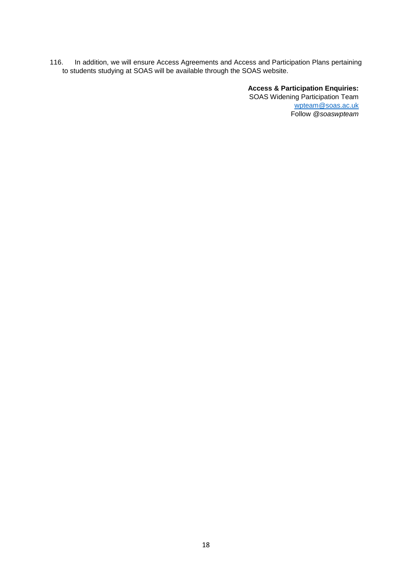116. In addition, we will ensure Access Agreements and Access and Participation Plans pertaining to students studying at SOAS will be available through the SOAS website.

> **Access & Participation Enquiries:**  SOAS Widening Participation Team [wpteam@soas.ac.uk](mailto:wpteam@soas.ac.uk) Follow *@soaswpteam*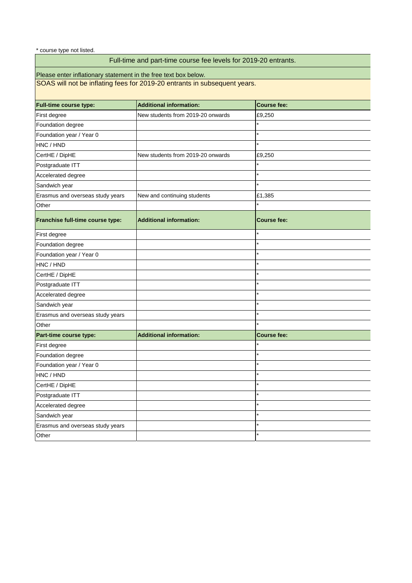\* course type not listed.

# Full-time and part-time course fee levels for 2019-20 entrants.

Please enter inflationary statement in the free text box below.

SOAS will not be inflating fees for 2019-20 entrants in subsequent years.

| <b>Full-time course type:</b>    | <b>Additional information:</b>    | <b>Course fee:</b> |
|----------------------------------|-----------------------------------|--------------------|
| First degree                     | New students from 2019-20 onwards | £9,250             |
| Foundation degree                |                                   |                    |
| Foundation year / Year 0         |                                   |                    |
| HNC / HND                        |                                   | ÷                  |
| CertHE / DipHE                   | New students from 2019-20 onwards | £9,250             |
| Postgraduate ITT                 |                                   |                    |
| Accelerated degree               |                                   | $\star$            |
| Sandwich year                    |                                   |                    |
| Erasmus and overseas study years | New and continuing students       | £1,385             |
| Other                            |                                   |                    |
| Franchise full-time course type: | <b>Additional information:</b>    | <b>Course fee:</b> |
| First degree                     |                                   |                    |
| Foundation degree                |                                   |                    |
| Foundation year / Year 0         |                                   |                    |
| HNC / HND                        |                                   |                    |
| CertHE / DipHE                   |                                   |                    |
| Postgraduate ITT                 |                                   | $\star$            |
| Accelerated degree               |                                   | $\star$            |
| Sandwich year                    |                                   | $\star$            |
| Erasmus and overseas study years |                                   |                    |
| Other                            |                                   |                    |
| Part-time course type:           | <b>Additional information:</b>    | <b>Course fee:</b> |
| First degree                     |                                   |                    |
| Foundation degree                |                                   |                    |
| Foundation year / Year 0         |                                   |                    |
| HNC / HND                        |                                   |                    |
| CertHE / DipHE                   |                                   |                    |
| Postgraduate ITT                 |                                   |                    |
| Accelerated degree               |                                   | $\star$            |
| Sandwich year                    |                                   |                    |
| Erasmus and overseas study years |                                   |                    |
| Other                            |                                   |                    |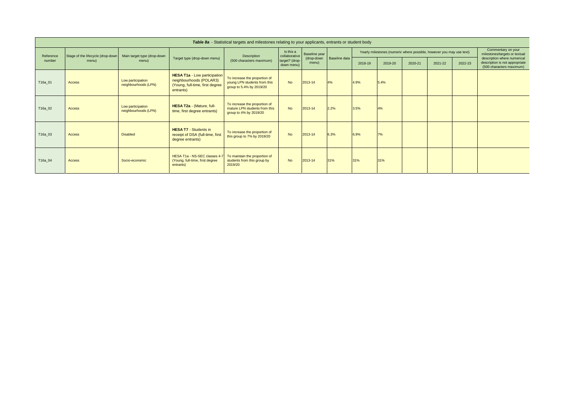| Table 8a - Statistical targets and milestones relating to your applicants, entrants or student body |                                   |                                           |                                                                                                                |                                                                                           |                              |                     |               |         |         |         |                                                                      |                                                     |                                                                                           |
|-----------------------------------------------------------------------------------------------------|-----------------------------------|-------------------------------------------|----------------------------------------------------------------------------------------------------------------|-------------------------------------------------------------------------------------------|------------------------------|---------------------|---------------|---------|---------|---------|----------------------------------------------------------------------|-----------------------------------------------------|-------------------------------------------------------------------------------------------|
| Reference                                                                                           | Stage of the lifecycle (drop-down | Main target type (drop-down               |                                                                                                                | Description                                                                               | Is this a<br>collaborative   | Baseline year       |               |         |         |         | Yearly milestones (numeric where possible, however you may use text) | Commentary on your<br>milestones/targets or textual |                                                                                           |
| number                                                                                              | menu)                             | menu)                                     | Target type (drop-down menu)                                                                                   | (500 characters maximum)                                                                  | target? (drop-<br>down menu) | (drop-down<br>menu) | Baseline data | 2018-19 | 2019-20 | 2020-21 | 2021-22                                                              | 2022-23                                             | description where numerical<br>description is not appropriate<br>(500 characters maximum) |
| T16a_01                                                                                             | Access                            | Low participation<br>neighbourhoods (LPN) | <b>HESA T1a - Low participation</b><br>neighbourhoods (POLAR3)<br>(Young, full-time, first degree<br>entrants) | To increase the proportion of<br>young LPN students from this<br>group to 5.4% by 2019/20 | <b>No</b>                    | 2013-14             | 4%            | 4.9%    | 5.4%    |         |                                                                      |                                                     |                                                                                           |
| T16a_02                                                                                             | Access                            | Low participation<br>neighbourhoods (LPN) | HESA T2a - (Mature, full-<br>time, first degree entrants)                                                      | To increase the proportion of<br>mature LPN students from this<br>group to 4% by 2019/20  | <b>No</b>                    | 2013-14             | 2.2%          | 3.5%    | 4%      |         |                                                                      |                                                     |                                                                                           |
| T16a_03                                                                                             | Access                            | <b>Disabled</b>                           | <b>HESA T7 - Students in</b><br>receipt of DSA (full-time, first<br>degree entrants)                           | To increase the proportion of<br>this group to 7% by 2019/20                              | <b>No</b>                    | 2013-14             | 6.3%          | 6.9%    | 7%      |         |                                                                      |                                                     |                                                                                           |
| T16a_04                                                                                             | <b>Access</b>                     | Socio-economic                            | HESA T1a - NS-SEC classes 4-7<br>(Young, full-time, first degree<br>entrants)                                  | To maintain the proportion of<br>students from this group by<br>2019/20                   | <b>No</b>                    | 2013-14             | 31%           | 31%     | 31%     |         |                                                                      |                                                     |                                                                                           |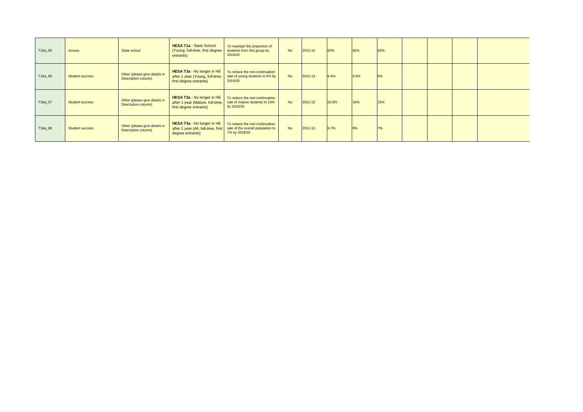| T16a_05 | Access                 | State school                                         | <b>HESA T1a - State School</b><br>(Young, full-time, first degree<br>entrants)                  | To maintain the proportion of<br>students from this group by<br>2019/20              | <b>No</b> | $2013 - 14$ | 82%   | 82%  | 82% |  |  |
|---------|------------------------|------------------------------------------------------|-------------------------------------------------------------------------------------------------|--------------------------------------------------------------------------------------|-----------|-------------|-------|------|-----|--|--|
| T16a_06 | <b>Student success</b> | Other (please give details in<br>Description column) | <b>HESA T3a - No longer in HE</b><br>after 1 year (Young, full-time,<br>first degree entrants)  | To reduce the non-continuation<br>rate of young students to 5% by<br>2019/20         | <b>No</b> | $2012 - 13$ | 6.4%  | 5.5% | 5%  |  |  |
| T16a_07 | <b>Student success</b> | Other (please give details in<br>Description column) | <b>HESA T3a - No longer in HE</b><br>after 1 year (Mature, full-time,<br>first degree entrants) | To reduce the non-continuation<br>rate of mature students to 15%<br>by 2019/20       | <b>No</b> | $2012 - 13$ | 20.6% | 16%  | 15% |  |  |
| T16a_08 | <b>Student success</b> | Other (please give details in<br>Description column) | HESA T3a - No longer in HE<br>after 1 year (All, full-time, first<br>degree entrants)           | To reduce the non-continuation<br>rate of the overall population to<br>7% by 2019/20 | <b>No</b> | $2012 - 13$ | 9.7%  | 8%   | 7%  |  |  |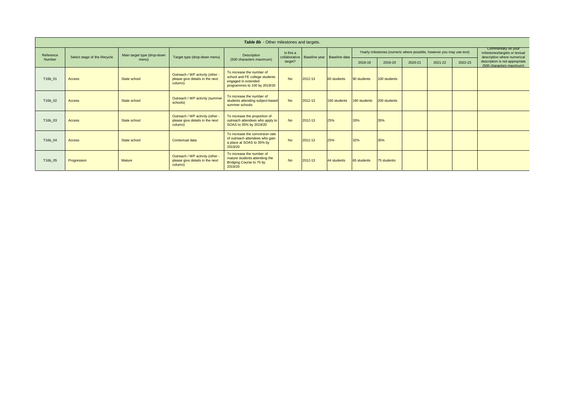| Table 8b - Other milestones and targets. |                               |                             |                                                                               |                                                                                                                    |                            |         |                               |              |                                                                      |         |         |                                                                                    |                                                            |
|------------------------------------------|-------------------------------|-----------------------------|-------------------------------------------------------------------------------|--------------------------------------------------------------------------------------------------------------------|----------------------------|---------|-------------------------------|--------------|----------------------------------------------------------------------|---------|---------|------------------------------------------------------------------------------------|------------------------------------------------------------|
| Reference                                | Select stage of the lifecycle | Main target type (drop-down | Target type (drop-down menu)                                                  | Description                                                                                                        | Is this a<br>collaborative |         | Baseline year   Baseline data |              | Yearly milestones (numeric where possible, however you may use text) |         |         | Commentary on your<br>milestones/targets or textual<br>description where numerical |                                                            |
| Number                                   |                               | menu)                       |                                                                               | (500 characters maximum)                                                                                           | target?                    |         |                               | 2018-19      | 2019-20                                                              | 2020-21 | 2021-22 | 2022-23                                                                            | description is not appropriate<br>(500 characters maximum) |
| T16b_01                                  | <b>Access</b>                 | State school                | Outreach / WP activity (other -<br>please give details in the next<br>column) | To increase the number of<br>school and FE college students<br>engaged in extended<br>programmes to 100 by 2019/20 | <b>No</b>                  | 2012-13 | 60 students                   | 90 students  | 100 students                                                         |         |         |                                                                                    |                                                            |
| T16b_02                                  | <b>Access</b>                 | State school                | Outreach / WP activity (summer<br>schools)                                    | To increase the number of<br>students attending subject-based<br>summer schools                                    | <b>No</b>                  | 2012-13 | 160 students                  | 180 students | 200 students                                                         |         |         |                                                                                    |                                                            |
| T16b_03                                  | <b>Access</b>                 | State school                | Outreach / WP activity (other -<br>please give details in the next<br>column) | To increase the proportion of<br>outreach attendees who apply to<br>SOAS to 35% by 2019/20                         | <b>No</b>                  | 2012-13 | 25%                           | 33%          | 35%                                                                  |         |         |                                                                                    |                                                            |
| T16b_04                                  | <b>Access</b>                 | State school                | <b>Contextual data</b>                                                        | To increase the conversion rate<br>of outreach attendees who gain<br>a place at SOAS to 35% by<br>2019/20          | <b>No</b>                  | 2012-13 | 25%                           | 32%          | 35%                                                                  |         |         |                                                                                    |                                                            |
| T16b_05                                  | Progression                   | <b>Mature</b>               | Outreach / WP activity (other -<br>please give details in the next<br>column) | To increase the number of<br>mature students attending the<br><b>Bridging Course to 75 by</b><br>2019/20           | <b>No</b>                  | 2012-13 | 44 students                   | 65 students  | 75 students                                                          |         |         |                                                                                    |                                                            |